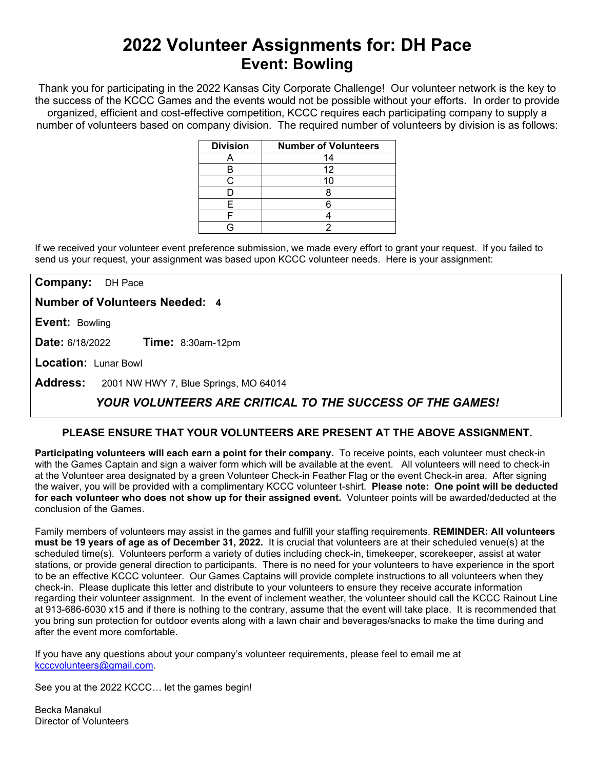# **2022 Volunteer Assignments for: DH Pace Event: Bowling**

Thank you for participating in the 2022 Kansas City Corporate Challenge! Our volunteer network is the key to the success of the KCCC Games and the events would not be possible without your efforts.In order to provide organized, efficient and cost-effective competition, KCCC requires each participating company to supply a number of volunteers based on company division. The required number of volunteers by division is as follows:

| <b>Division</b> | <b>Number of Volunteers</b> |
|-----------------|-----------------------------|
|                 | 14                          |
| В               | 12                          |
|                 |                             |
|                 |                             |
| F               |                             |
|                 |                             |
|                 |                             |

If we received your volunteer event preference submission, we made every effort to grant your request. If you failed to send us your request, your assignment was based upon KCCC volunteer needs. Here is your assignment:

**Company:** DH Pace

**Number of Volunteers Needed: 4**

**Event:** Bowling

**Date:** 6/18/2022 **Time:** 8:30am-12pm

**Location:** Lunar Bowl

**Address:** 2001 NW HWY 7, Blue Springs, MO 64014

## *YOUR VOLUNTEERS ARE CRITICAL TO THE SUCCESS OF THE GAMES!*

### **PLEASE ENSURE THAT YOUR VOLUNTEERS ARE PRESENT AT THE ABOVE ASSIGNMENT.**

**Participating volunteers will each earn a point for their company.** To receive points, each volunteer must check-in with the Games Captain and sign a waiver form which will be available at the event. All volunteers will need to check-in at the Volunteer area designated by a green Volunteer Check-in Feather Flag or the event Check-in area. After signing the waiver, you will be provided with a complimentary KCCC volunteer t-shirt. **Please note: One point will be deducted for each volunteer who does not show up for their assigned event.** Volunteer points will be awarded/deducted at the conclusion of the Games.

Family members of volunteers may assist in the games and fulfill your staffing requirements. **REMINDER: All volunteers must be 19 years of age as of December 31, 2022.** It is crucial that volunteers are at their scheduled venue(s) at the scheduled time(s). Volunteers perform a variety of duties including check-in, timekeeper, scorekeeper, assist at water stations, or provide general direction to participants. There is no need for your volunteers to have experience in the sport to be an effective KCCC volunteer. Our Games Captains will provide complete instructions to all volunteers when they check-in. Please duplicate this letter and distribute to your volunteers to ensure they receive accurate information regarding their volunteer assignment. In the event of inclement weather, the volunteer should call the KCCC Rainout Line at 913-686-6030 x15 and if there is nothing to the contrary, assume that the event will take place. It is recommended that you bring sun protection for outdoor events along with a lawn chair and beverages/snacks to make the time during and after the event more comfortable.

If you have any questions about your company's volunteer requirements, please feel to email me at [kcccvolunteers@gmail.com.](mailto:kcccvolunteers@gmail.com)

See you at the 2022 KCCC… let the games begin!

Becka Manakul Director of Volunteers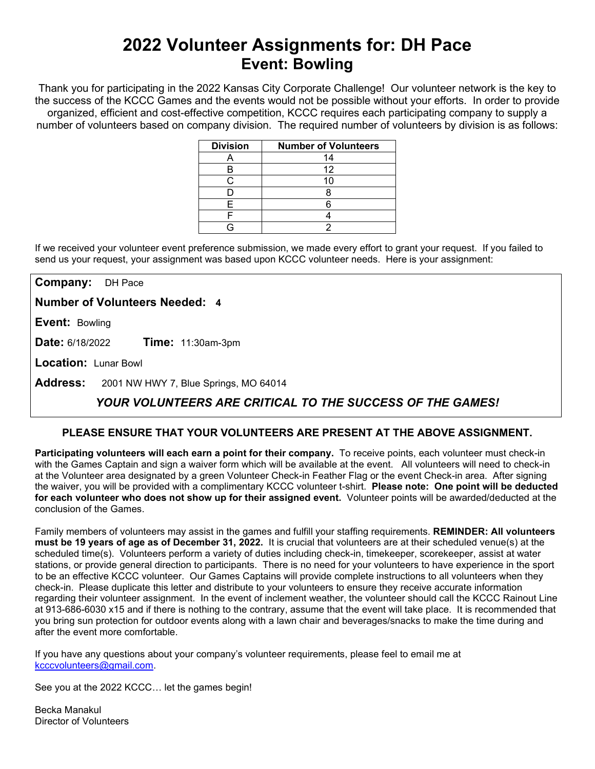# **2022 Volunteer Assignments for: DH Pace Event: Bowling**

Thank you for participating in the 2022 Kansas City Corporate Challenge! Our volunteer network is the key to the success of the KCCC Games and the events would not be possible without your efforts.In order to provide organized, efficient and cost-effective competition, KCCC requires each participating company to supply a number of volunteers based on company division. The required number of volunteers by division is as follows:

| <b>Division</b> | <b>Number of Volunteers</b> |
|-----------------|-----------------------------|
|                 | 14                          |
|                 | 12                          |
|                 |                             |
|                 |                             |
|                 |                             |
|                 |                             |
|                 |                             |

If we received your volunteer event preference submission, we made every effort to grant your request. If you failed to send us your request, your assignment was based upon KCCC volunteer needs. Here is your assignment:

**Company:** DH Pace

**Number of Volunteers Needed: 4**

**Event:** Bowling

**Date:** 6/18/2022 **Time:** 11:30am-3pm

**Location:** Lunar Bowl

**Address:** 2001 NW HWY 7, Blue Springs, MO 64014

## *YOUR VOLUNTEERS ARE CRITICAL TO THE SUCCESS OF THE GAMES!*

### **PLEASE ENSURE THAT YOUR VOLUNTEERS ARE PRESENT AT THE ABOVE ASSIGNMENT.**

**Participating volunteers will each earn a point for their company.** To receive points, each volunteer must check-in with the Games Captain and sign a waiver form which will be available at the event. All volunteers will need to check-in at the Volunteer area designated by a green Volunteer Check-in Feather Flag or the event Check-in area. After signing the waiver, you will be provided with a complimentary KCCC volunteer t-shirt. **Please note: One point will be deducted for each volunteer who does not show up for their assigned event.** Volunteer points will be awarded/deducted at the conclusion of the Games.

Family members of volunteers may assist in the games and fulfill your staffing requirements. **REMINDER: All volunteers must be 19 years of age as of December 31, 2022.** It is crucial that volunteers are at their scheduled venue(s) at the scheduled time(s). Volunteers perform a variety of duties including check-in, timekeeper, scorekeeper, assist at water stations, or provide general direction to participants. There is no need for your volunteers to have experience in the sport to be an effective KCCC volunteer. Our Games Captains will provide complete instructions to all volunteers when they check-in. Please duplicate this letter and distribute to your volunteers to ensure they receive accurate information regarding their volunteer assignment. In the event of inclement weather, the volunteer should call the KCCC Rainout Line at 913-686-6030 x15 and if there is nothing to the contrary, assume that the event will take place. It is recommended that you bring sun protection for outdoor events along with a lawn chair and beverages/snacks to make the time during and after the event more comfortable.

If you have any questions about your company's volunteer requirements, please feel to email me at [kcccvolunteers@gmail.com.](mailto:kcccvolunteers@gmail.com)

See you at the 2022 KCCC… let the games begin!

Becka Manakul Director of Volunteers